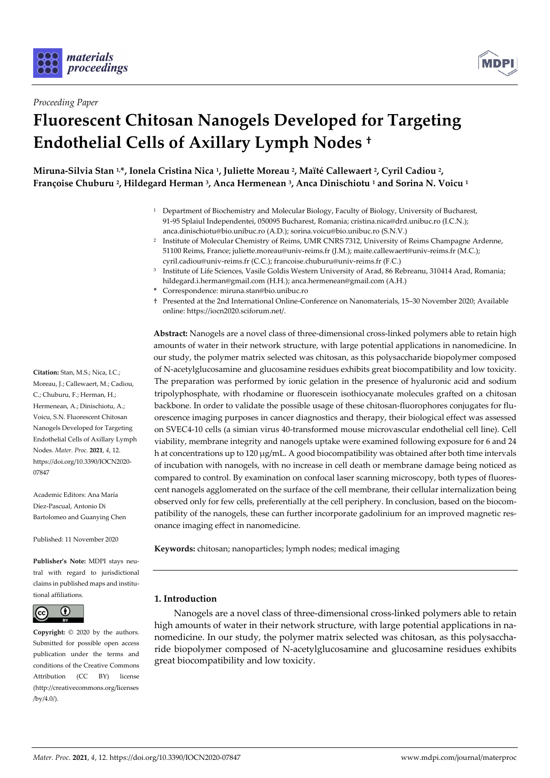



## *Proceeding Paper*

# **Fluorescent Chitosan Nanogels Developed for Targeting Endothelial Cells of Axillary Lymph Nodes †**

**Miruna-Silvia Stan 1,\*, Ionela Cristina Nica 1, Juliette Moreau 2, Maïté Callewaert 2, Cyril Cadiou 2, Françoise Chuburu 2, Hildegard Herman 3, Anca Hermenean 3, Anca Dinischiotu 1 and Sorina N. Voicu 1**

- 1 Department of Biochemistry and Molecular Biology, Faculty of Biology, University of Bucharest, 91-95 Splaiul Independentei, 050095 Bucharest, Romania; cristina.nica@drd.unibuc.ro (I.C.N.); anca.dinischiotu@bio.unibuc.ro (A.D.); sorina.voicu@bio.unibuc.ro (S.N.V.)
- <sup>2</sup> Institute of Molecular Chemistry of Reims, UMR CNRS 7312, University of Reims Champagne Ardenne, 51100 Reims, France; juliette.moreau@univ-reims.fr (J.M.); maite.callewaert@univ-reims.fr (M.C.); cyril.cadiou@univ-reims.fr (C.C.); francoise.chuburu@univ-reims.fr (F.C.)
- 3 Institute of Life Sciences, Vasile Goldis Western University of Arad, 86 Rebreanu, 310414 Arad, Romania; hildegard.i.herman@gmail.com (H.H.); anca.hermenean@gmail.com (A.H.)
- **\*** Correspondence: miruna.stan@bio.unibuc.ro
- † Presented at the 2nd International Online-Conference on Nanomaterials, 15–30 November 2020; Available online: https://iocn2020.sciforum.net/.

**Abstract:** Nanogels are a novel class of three-dimensional cross-linked polymers able to retain high amounts of water in their network structure, with large potential applications in nanomedicine. In our study, the polymer matrix selected was chitosan, as this polysaccharide biopolymer composed of N-acetylglucosamine and glucosamine residues exhibits great biocompatibility and low toxicity. The preparation was performed by ionic gelation in the presence of hyaluronic acid and sodium tripolyphosphate, with rhodamine or fluorescein isothiocyanate molecules grafted on a chitosan backbone. In order to validate the possible usage of these chitosan-fluorophores conjugates for fluorescence imaging purposes in cancer diagnostics and therapy, their biological effect was assessed on SVEC4-10 cells (a simian virus 40-transformed mouse microvascular endothelial cell line). Cell viability, membrane integrity and nanogels uptake were examined following exposure for 6 and 24 h at concentrations up to 120  $\mu$ g/mL. A good biocompatibility was obtained after both time intervals of incubation with nanogels, with no increase in cell death or membrane damage being noticed as compared to control. By examination on confocal laser scanning microscopy, both types of fluorescent nanogels agglomerated on the surface of the cell membrane, their cellular internalization being observed only for few cells, preferentially at the cell periphery. In conclusion, based on the biocompatibility of the nanogels, these can further incorporate gadolinium for an improved magnetic resonance imaging effect in nanomedicine.

**Keywords:** chitosan; nanoparticles; lymph nodes; medical imaging

### **1. Introduction**

Nanogels are a novel class of three-dimensional cross-linked polymers able to retain high amounts of water in their network structure, with large potential applications in nanomedicine. In our study, the polymer matrix selected was chitosan, as this polysaccharide biopolymer composed of N-acetylglucosamine and glucosamine residues exhibits great biocompatibility and low toxicity.

**Citation:** Stan, M.S.; Nica, I.C.; Moreau, J.; Callewaert, M.; Cadiou, C.; Chuburu, F.; Herman, H.; Hermenean, A.; Dinischiotu, A.; Voicu, S.N. Fluorescent Chitosan Nanogels Developed for Targeting Endothelial Cells of Axillary Lymph Nodes. *Mater. Proc.* **2021**, *4*, 12. https://doi.org/10.3390/IOCN2020- 07847

Academic Editors: Ana María Díez-Pascual, Antonio Di Bartolomeo and Guanying Chen

Published: 11 November 2020

**Publisher's Note:** MDPI stays neutral with regard to jurisdictional claims in published maps and institutional affiliations.



**Copyright:** © 2020 by the authors. Submitted for possible open access publication under the terms and conditions of the Creative Commons Attribution (CC BY) license (http://creativecommons.org/licenses  $/by/4.0/$ ).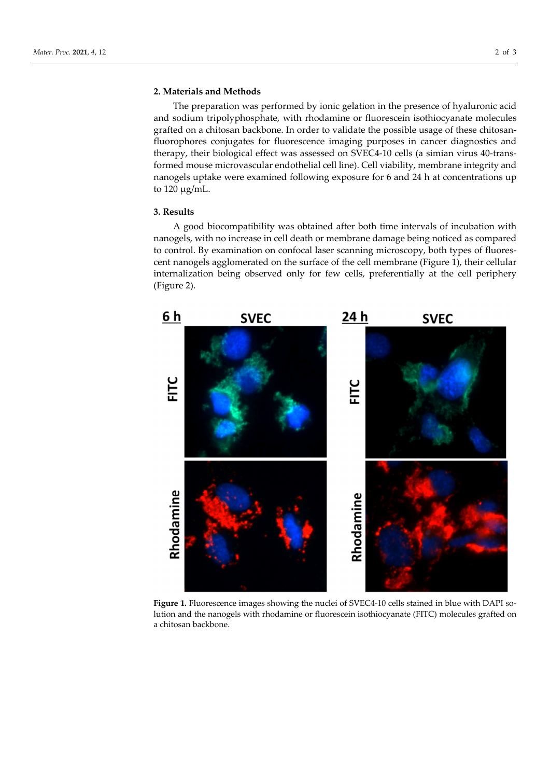### **2. Materials and Methods**

The preparation was performed by ionic gelation in the presence of hyaluronic acid and sodium tripolyphosphate, with rhodamine or fluorescein isothiocyanate molecules grafted on a chitosan backbone. In order to validate the possible usage of these chitosanfluorophores conjugates for fluorescence imaging purposes in cancer diagnostics and therapy, their biological effect was assessed on SVEC4-10 cells (a simian virus 40-transformed mouse microvascular endothelial cell line). Cell viability, membrane integrity and nanogels uptake were examined following exposure for 6 and 24 h at concentrations up to  $120 \mu g/mL$ .

#### **3. Results**

A good biocompatibility was obtained after both time intervals of incubation with nanogels, with no increase in cell death or membrane damage being noticed as compared to control. By examination on confocal laser scanning microscopy, both types of fluorescent nanogels agglomerated on the surface of the cell membrane (Figure 1), their cellular internalization being observed only for few cells, preferentially at the cell periphery (Figure 2).



Figure 1. Fluorescence images showing the nuclei of SVEC4-10 cells stained in blue with DAPI solution and the nanogels with rhodamine or fluorescein isothiocyanate (FITC) molecules grafted on a chitosan backbone.